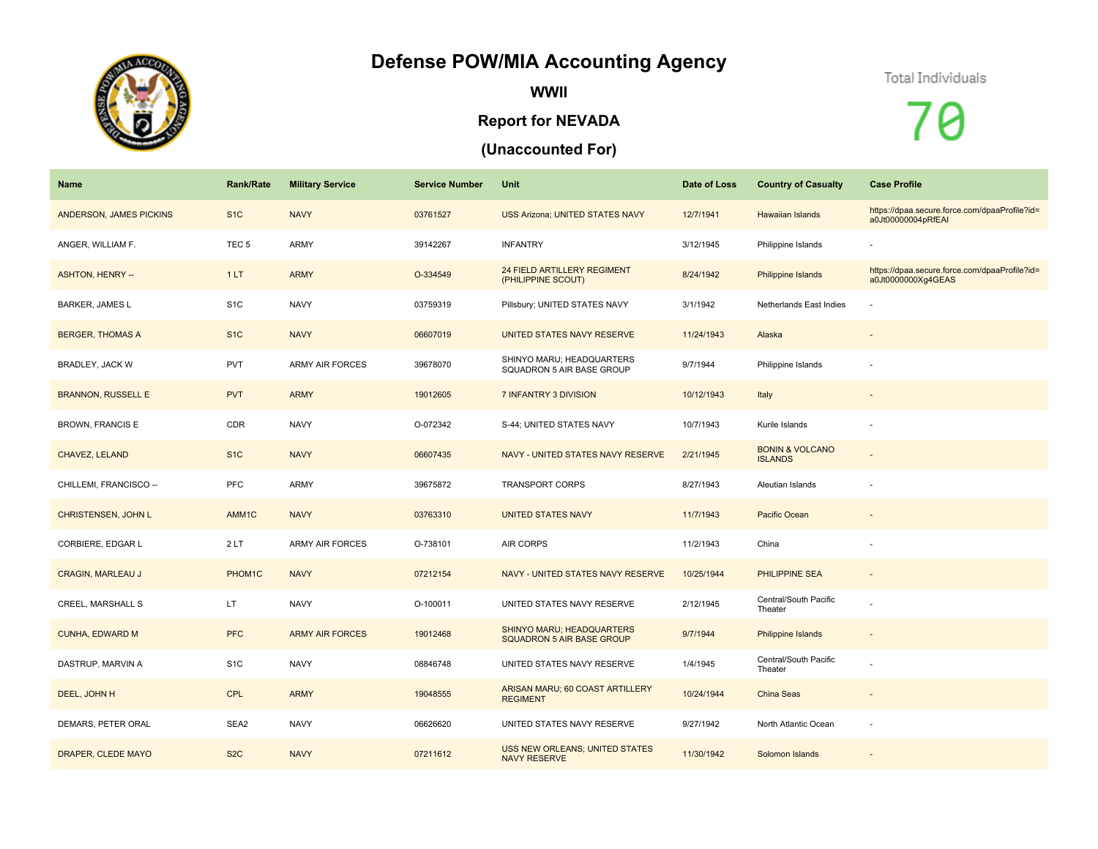## **Defense POW/MIA Accounting Agency**



**WWII**

## **Report for NEVADA**

## **(Unaccounted For)**



Q

| Name                      | <b>Rank/Rate</b>  | <b>Military Service</b> | <b>Service Number</b> | Unit                                                          | Date of Loss | <b>Country of Casualty</b>                   | <b>Case Profile</b>                                                 |
|---------------------------|-------------------|-------------------------|-----------------------|---------------------------------------------------------------|--------------|----------------------------------------------|---------------------------------------------------------------------|
| ANDERSON, JAMES PICKINS   | S <sub>1</sub> C  | <b>NAVY</b>             | 03761527              | <b>USS Arizona; UNITED STATES NAVY</b>                        | 12/7/1941    | <b>Hawaiian Islands</b>                      | https://dpaa.secure.force.com/dpaaProfile?id=<br>a0Jt00000004pRfEAI |
| ANGER, WILLIAM F.         | TEC <sub>5</sub>  | <b>ARMY</b>             | 39142267              | <b>INFANTRY</b>                                               | 3/12/1945    | Philippine Islands                           |                                                                     |
| <b>ASHTON, HENRY --</b>   | 1LT               | <b>ARMY</b>             | O-334549              | <b>24 FIELD ARTILLERY REGIMENT</b><br>(PHILIPPINE SCOUT)      | 8/24/1942    | Philippine Islands                           | https://dpaa.secure.force.com/dpaaProfile?id=<br>a0Jt0000000Xg4GEAS |
| BARKER, JAMES L           | S <sub>1</sub> C  | <b>NAVY</b>             | 03759319              | Pillsbury; UNITED STATES NAVY                                 | 3/1/1942     | Netherlands East Indies                      |                                                                     |
| <b>BERGER, THOMAS A</b>   | S <sub>1</sub> C  | <b>NAVY</b>             | 06607019              | UNITED STATES NAVY RESERVE                                    | 11/24/1943   | Alaska                                       |                                                                     |
| <b>BRADLEY, JACK W</b>    | <b>PVT</b>        | <b>ARMY AIR FORCES</b>  | 39678070              | SHINYO MARU; HEADQUARTERS<br>SQUADRON 5 AIR BASE GROUP        | 9/7/1944     | Philippine Islands                           |                                                                     |
| <b>BRANNON, RUSSELL E</b> | <b>PVT</b>        | <b>ARMY</b>             | 19012605              | 7 INFANTRY 3 DIVISION                                         | 10/12/1943   | Italy                                        |                                                                     |
| <b>BROWN, FRANCIS E</b>   | CDR               | <b>NAVY</b>             | O-072342              | S-44; UNITED STATES NAVY                                      | 10/7/1943    | Kurile Islands                               |                                                                     |
| CHAVEZ, LELAND            | S <sub>1</sub> C  | <b>NAVY</b>             | 06607435              | NAVY - UNITED STATES NAVY RESERVE                             | 2/21/1945    | <b>BONIN &amp; VOLCANO</b><br><b>ISLANDS</b> |                                                                     |
| CHILLEMI, FRANCISCO --    | PFC               | <b>ARMY</b>             | 39675872              | <b>TRANSPORT CORPS</b>                                        | 8/27/1943    | Aleutian Islands                             |                                                                     |
| CHRISTENSEN, JOHN L       | AMM <sub>1C</sub> | <b>NAVY</b>             | 03763310              | <b>UNITED STATES NAVY</b>                                     | 11/7/1943    | Pacific Ocean                                | $\overline{\phantom{a}}$                                            |
| CORBIERE, EDGAR L         | 2LT               | <b>ARMY AIR FORCES</b>  | O-738101              | AIR CORPS                                                     | 11/2/1943    | China                                        |                                                                     |
| <b>CRAGIN, MARLEAU J</b>  | PHOM1C            | <b>NAVY</b>             | 07212154              | NAVY - UNITED STATES NAVY RESERVE                             | 10/25/1944   | PHILIPPINE SEA                               | $\overline{\phantom{a}}$                                            |
| CREEL, MARSHALL S         | LT.               | <b>NAVY</b>             | O-100011              | UNITED STATES NAVY RESERVE                                    | 2/12/1945    | Central/South Pacific<br>Theater             |                                                                     |
| <b>CUNHA, EDWARD M</b>    | <b>PFC</b>        | <b>ARMY AIR FORCES</b>  | 19012468              | SHINYO MARU; HEADQUARTERS<br><b>SQUADRON 5 AIR BASE GROUP</b> | 9/7/1944     | Philippine Islands                           |                                                                     |
| DASTRUP, MARVIN A         | S <sub>1</sub> C  | <b>NAVY</b>             | 08846748              | UNITED STATES NAVY RESERVE                                    | 1/4/1945     | Central/South Pacific<br>Theater             | $\overline{\phantom{a}}$                                            |
| DEEL, JOHN H              | <b>CPL</b>        | <b>ARMY</b>             | 19048555              | ARISAN MARU; 60 COAST ARTILLERY<br><b>REGIMENT</b>            | 10/24/1944   | <b>China Seas</b>                            |                                                                     |
| DEMARS, PETER ORAL        | SEA2              | <b>NAVY</b>             | 06626620              | UNITED STATES NAVY RESERVE                                    | 9/27/1942    | North Atlantic Ocean                         | $\sim$                                                              |
| DRAPER, CLEDE MAYO        | S <sub>2</sub> C  | <b>NAVY</b>             | 07211612              | <b>USS NEW ORLEANS; UNITED STATES</b><br><b>NAVY RESERVE</b>  | 11/30/1942   | Solomon Islands                              |                                                                     |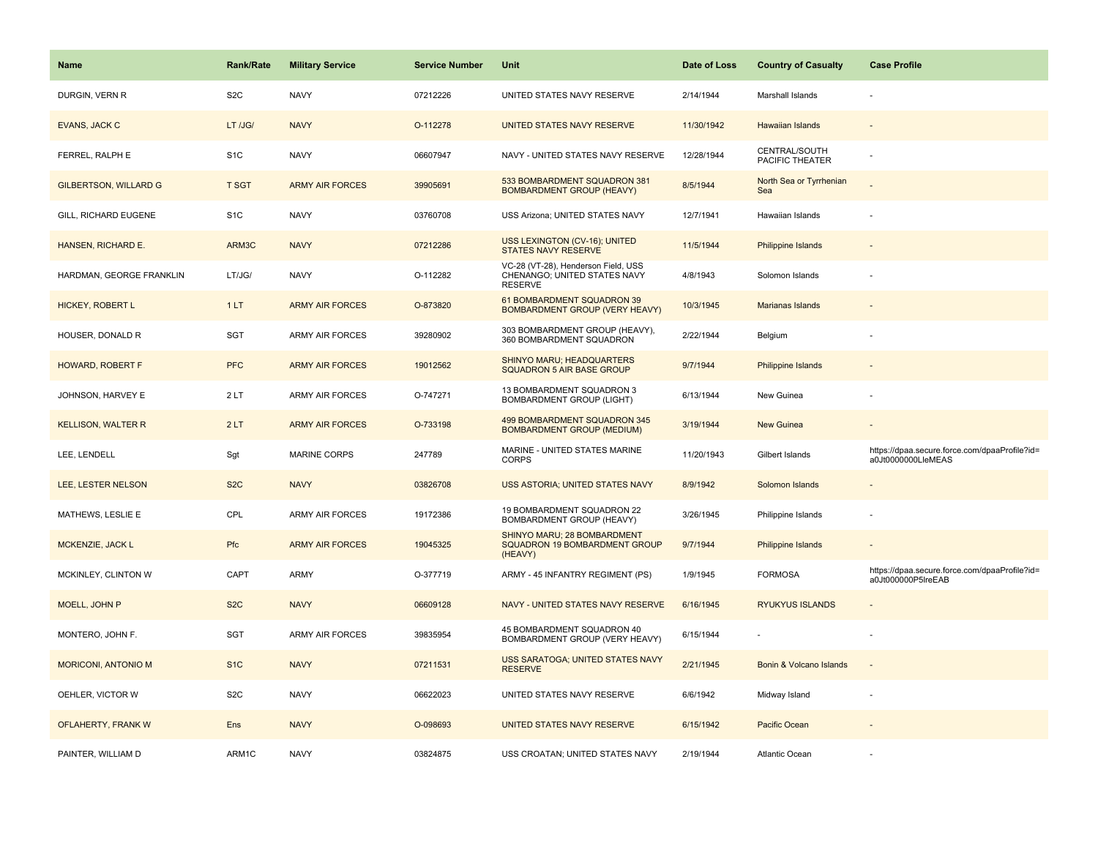| Name                         | <b>Rank/Rate</b> | <b>Military Service</b> | <b>Service Number</b> | Unit                                                                                  | Date of Loss | <b>Country of Casualty</b>       | <b>Case Profile</b>                                                 |
|------------------------------|------------------|-------------------------|-----------------------|---------------------------------------------------------------------------------------|--------------|----------------------------------|---------------------------------------------------------------------|
| DURGIN, VERN R               | S <sub>2</sub> C | <b>NAVY</b>             | 07212226              | UNITED STATES NAVY RESERVE                                                            | 2/14/1944    | Marshall Islands                 |                                                                     |
| <b>EVANS, JACK C</b>         | LT /JG/          | <b>NAVY</b>             | O-112278              | UNITED STATES NAVY RESERVE                                                            | 11/30/1942   | Hawaiian Islands                 |                                                                     |
| FERREL, RALPH E              | S <sub>1</sub> C | <b>NAVY</b>             | 06607947              | NAVY - UNITED STATES NAVY RESERVE                                                     | 12/28/1944   | CENTRAL/SOUTH<br>PACIFIC THEATER |                                                                     |
| <b>GILBERTSON, WILLARD G</b> | <b>T SGT</b>     | <b>ARMY AIR FORCES</b>  | 39905691              | 533 BOMBARDMENT SQUADRON 381<br><b>BOMBARDMENT GROUP (HEAVY)</b>                      | 8/5/1944     | North Sea or Tyrrhenian<br>Sea   |                                                                     |
| GILL, RICHARD EUGENE         | S <sub>1</sub> C | <b>NAVY</b>             | 03760708              | USS Arizona; UNITED STATES NAVY                                                       | 12/7/1941    | Hawaiian Islands                 |                                                                     |
| HANSEN, RICHARD E.           | ARM3C            | <b>NAVY</b>             | 07212286              | USS LEXINGTON (CV-16); UNITED<br>STATES NAVY RESERVE                                  | 11/5/1944    | Philippine Islands               |                                                                     |
| HARDMAN, GEORGE FRANKLIN     | LT/JG/           | <b>NAVY</b>             | O-112282              | VC-28 (VT-28), Henderson Field, USS<br>CHENANGO; UNITED STATES NAVY<br><b>RESERVE</b> | 4/8/1943     | Solomon Islands                  |                                                                     |
| <b>HICKEY, ROBERT L</b>      | 1LT              | <b>ARMY AIR FORCES</b>  | O-873820              | 61 BOMBARDMENT SQUADRON 39<br><b>BOMBARDMENT GROUP (VERY HEAVY)</b>                   | 10/3/1945    | <b>Marianas Islands</b>          |                                                                     |
| HOUSER, DONALD R             | SGT              | <b>ARMY AIR FORCES</b>  | 39280902              | 303 BOMBARDMENT GROUP (HEAVY),<br>360 BOMBARDMENT SQUADRON                            | 2/22/1944    | Belgium                          |                                                                     |
| HOWARD, ROBERT F             | <b>PFC</b>       | <b>ARMY AIR FORCES</b>  | 19012562              | SHINYO MARU; HEADQUARTERS<br>SQUADRON 5 AIR BASE GROUP                                | 9/7/1944     | Philippine Islands               |                                                                     |
| JOHNSON, HARVEY E            | 2LT              | ARMY AIR FORCES         | O-747271              | 13 BOMBARDMENT SQUADRON 3<br>BOMBARDMENT GROUP (LIGHT)                                | 6/13/1944    | New Guinea                       |                                                                     |
| <b>KELLISON, WALTER R</b>    | 2LT              | <b>ARMY AIR FORCES</b>  | O-733198              | 499 BOMBARDMENT SQUADRON 345<br><b>BOMBARDMENT GROUP (MEDIUM)</b>                     | 3/19/1944    | <b>New Guinea</b>                |                                                                     |
| LEE, LENDELL                 | Sgt              | <b>MARINE CORPS</b>     | 247789                | MARINE - UNITED STATES MARINE<br><b>CORPS</b>                                         | 11/20/1943   | Gilbert Islands                  | https://dpaa.secure.force.com/dpaaProfile?id=<br>a0Jt0000000LleMEAS |
| LEE, LESTER NELSON           | S <sub>2</sub> C | <b>NAVY</b>             | 03826708              | USS ASTORIA; UNITED STATES NAVY                                                       | 8/9/1942     | Solomon Islands                  |                                                                     |
| MATHEWS, LESLIE E            | CPL              | <b>ARMY AIR FORCES</b>  | 19172386              | 19 BOMBARDMENT SQUADRON 22<br>BOMBARDMENT GROUP (HEAVY)                               | 3/26/1945    | Philippine Islands               |                                                                     |
| <b>MCKENZIE, JACK L</b>      | Pfc              | <b>ARMY AIR FORCES</b>  | 19045325              | SHINYO MARU; 28 BOMBARDMENT<br>SQUADRON 19 BOMBARDMENT GROUP<br>(HEAVY)               | 9/7/1944     | Philippine Islands               |                                                                     |
| MCKINLEY, CLINTON W          | CAPT             | ARMY                    | O-377719              | ARMY - 45 INFANTRY REGIMENT (PS)                                                      | 1/9/1945     | <b>FORMOSA</b>                   | https://dpaa.secure.force.com/dpaaProfile?id=<br>a0Jt000000P5IreEAB |
| MOELL, JOHN P                | S <sub>2</sub> C | <b>NAVY</b>             | 06609128              | NAVY - UNITED STATES NAVY RESERVE                                                     | 6/16/1945    | <b>RYUKYUS ISLANDS</b>           |                                                                     |
| MONTERO, JOHN F.             | <b>SGT</b>       | ARMY AIR FORCES         | 39835954              | 45 BOMBARDMENT SQUADRON 40<br>BOMBARDMENT GROUP (VERY HEAVY)                          | 6/15/1944    |                                  |                                                                     |
| <b>MORICONI, ANTONIO M</b>   | S <sub>1</sub> C | <b>NAVY</b>             | 07211531              | USS SARATOGA; UNITED STATES NAVY<br><b>RESERVE</b>                                    | 2/21/1945    | Bonin & Volcano Islands          | $\sim$                                                              |
| OEHLER, VICTOR W             | S <sub>2</sub> C | <b>NAVY</b>             | 06622023              | UNITED STATES NAVY RESERVE                                                            | 6/6/1942     | Midway Island                    |                                                                     |
| OFLAHERTY, FRANK W           | Ens              | <b>NAVY</b>             | O-098693              | UNITED STATES NAVY RESERVE                                                            | 6/15/1942    | Pacific Ocean                    |                                                                     |
| PAINTER, WILLIAM D           | ARM1C            | <b>NAVY</b>             | 03824875              | USS CROATAN; UNITED STATES NAVY                                                       | 2/19/1944    | <b>Atlantic Ocean</b>            |                                                                     |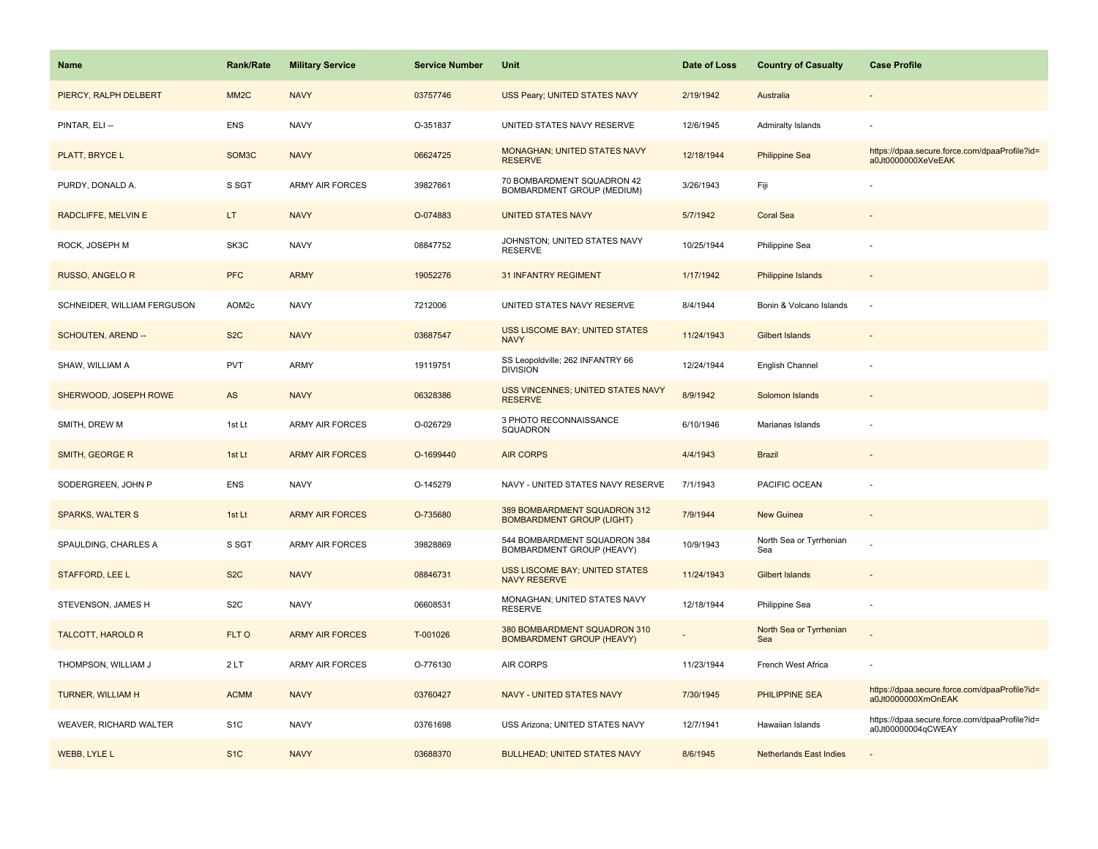| <b>Name</b>                 | <b>Rank/Rate</b>   | <b>Military Service</b> | <b>Service Number</b> | Unit                                                             | Date of Loss | <b>Country of Casualty</b>     | <b>Case Profile</b>                                                 |
|-----------------------------|--------------------|-------------------------|-----------------------|------------------------------------------------------------------|--------------|--------------------------------|---------------------------------------------------------------------|
| PIERCY, RALPH DELBERT       | MM <sub>2</sub> C  | <b>NAVY</b>             | 03757746              | USS Peary; UNITED STATES NAVY                                    | 2/19/1942    | Australia                      |                                                                     |
| PINTAR, ELI --              | <b>ENS</b>         | <b>NAVY</b>             | O-351837              | UNITED STATES NAVY RESERVE                                       | 12/6/1945    | <b>Admiralty Islands</b>       |                                                                     |
| PLATT, BRYCE L              | SOM <sub>3</sub> C | <b>NAVY</b>             | 06624725              | MONAGHAN; UNITED STATES NAVY<br><b>RESERVE</b>                   | 12/18/1944   | <b>Philippine Sea</b>          | https://dpaa.secure.force.com/dpaaProfile?id=<br>a0Jt0000000XeVeEAK |
| PURDY, DONALD A.            | S SGT              | ARMY AIR FORCES         | 39827661              | 70 BOMBARDMENT SQUADRON 42<br>BOMBARDMENT GROUP (MEDIUM)         | 3/26/1943    | Fiji                           |                                                                     |
| RADCLIFFE, MELVIN E         | LT.                | <b>NAVY</b>             | O-074883              | <b>UNITED STATES NAVY</b>                                        | 5/7/1942     | <b>Coral Sea</b>               |                                                                     |
| ROCK, JOSEPH M              | SK3C               | <b>NAVY</b>             | 08847752              | JOHNSTON; UNITED STATES NAVY<br><b>RESERVE</b>                   | 10/25/1944   | Philippine Sea                 |                                                                     |
| <b>RUSSO, ANGELO R</b>      | <b>PFC</b>         | <b>ARMY</b>             | 19052276              | <b>31 INFANTRY REGIMENT</b>                                      | 1/17/1942    | Philippine Islands             | $\sim$                                                              |
| SCHNEIDER, WILLIAM FERGUSON | AOM2c              | <b>NAVY</b>             | 7212006               | UNITED STATES NAVY RESERVE                                       | 8/4/1944     | Bonin & Volcano Islands        | ÷.                                                                  |
| SCHOUTEN, AREND --          | S <sub>2</sub> C   | <b>NAVY</b>             | 03687547              | <b>USS LISCOME BAY; UNITED STATES</b><br><b>NAVY</b>             | 11/24/1943   | <b>Gilbert Islands</b>         |                                                                     |
| SHAW, WILLIAM A             | <b>PVT</b>         | <b>ARMY</b>             | 19119751              | SS Leopoldville; 262 INFANTRY 66<br><b>DIVISION</b>              | 12/24/1944   | English Channel                |                                                                     |
| SHERWOOD, JOSEPH ROWE       | AS                 | <b>NAVY</b>             | 06328386              | <b>USS VINCENNES; UNITED STATES NAVY</b><br><b>RESERVE</b>       | 8/9/1942     | Solomon Islands                |                                                                     |
| SMITH, DREW M               | 1st Lt             | <b>ARMY AIR FORCES</b>  | O-026729              | 3 PHOTO RECONNAISSANCE<br><b>SQUADRON</b>                        | 6/10/1946    | Marianas Islands               |                                                                     |
| SMITH, GEORGE R             | 1st Lt             | <b>ARMY AIR FORCES</b>  | O-1699440             | <b>AIR CORPS</b>                                                 | 4/4/1943     | <b>Brazil</b>                  |                                                                     |
| SODERGREEN, JOHN P          | <b>ENS</b>         | <b>NAVY</b>             | O-145279              | NAVY - UNITED STATES NAVY RESERVE                                | 7/1/1943     | PACIFIC OCEAN                  |                                                                     |
| <b>SPARKS, WALTER S</b>     | 1st Lt             | <b>ARMY AIR FORCES</b>  | O-735680              | 389 BOMBARDMENT SQUADRON 312<br><b>BOMBARDMENT GROUP (LIGHT)</b> | 7/9/1944     | New Guinea                     |                                                                     |
| SPAULDING, CHARLES A        | S SGT              | <b>ARMY AIR FORCES</b>  | 39828869              | 544 BOMBARDMENT SQUADRON 384<br>BOMBARDMENT GROUP (HEAVY)        | 10/9/1943    | North Sea or Tyrrhenian<br>Sea |                                                                     |
| STAFFORD, LEE L             | S <sub>2</sub> C   | <b>NAVY</b>             | 08846731              | <b>USS LISCOME BAY; UNITED STATES</b><br><b>NAVY RESERVE</b>     | 11/24/1943   | Gilbert Islands                |                                                                     |
| STEVENSON, JAMES H          | S <sub>2</sub> C   | <b>NAVY</b>             | 06608531              | MONAGHAN; UNITED STATES NAVY<br><b>RESERVE</b>                   | 12/18/1944   | Philippine Sea                 |                                                                     |
| <b>TALCOTT, HAROLD R</b>    | FLT O              | <b>ARMY AIR FORCES</b>  | T-001026              | 380 BOMBARDMENT SQUADRON 310<br><b>BOMBARDMENT GROUP (HEAVY)</b> |              | North Sea or Tyrrhenian<br>Sea |                                                                     |
| THOMPSON, WILLIAM J         | 2LT                | <b>ARMY AIR FORCES</b>  | O-776130              | <b>AIR CORPS</b>                                                 | 11/23/1944   | French West Africa             |                                                                     |
| <b>TURNER, WILLIAM H</b>    | <b>ACMM</b>        | <b>NAVY</b>             | 03760427              | NAVY - UNITED STATES NAVY                                        | 7/30/1945    | <b>PHILIPPINE SEA</b>          | https://dpaa.secure.force.com/dpaaProfile?id=<br>a0Jt0000000XmOnEAK |
| WEAVER, RICHARD WALTER      | S <sub>1</sub> C   | <b>NAVY</b>             | 03761698              | USS Arizona; UNITED STATES NAVY                                  | 12/7/1941    | Hawaiian Islands               | https://dpaa.secure.force.com/dpaaProfile?id=<br>a0Jt00000004qCWEAY |
| <b>WEBB, LYLE L</b>         | S <sub>1</sub> C   | <b>NAVY</b>             | 03688370              | <b>BULLHEAD; UNITED STATES NAVY</b>                              | 8/6/1945     | <b>Netherlands East Indies</b> |                                                                     |